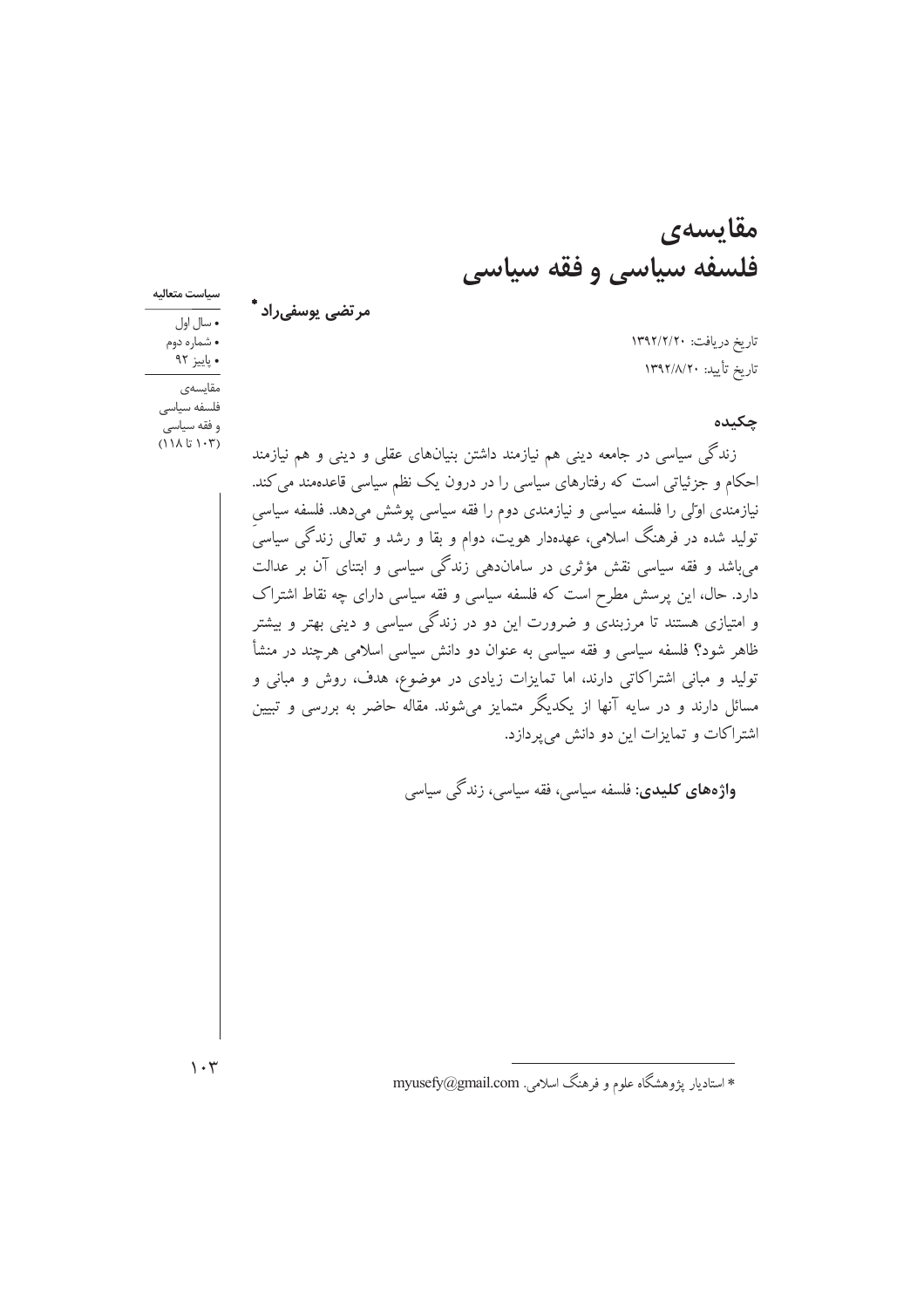# مقايسەي فلسفه سياسي و فقه سياسي

سياست متعاليه

• سال اول • شماره دوم • پاييز ۹۲

مرتضى يوسفىراد \*

مقايسەي فلسفه سياسى و فقه سياسي  $(11117)$  تا تاريخ دريافت: ١٣٩٢/٢/٢٠ تاريخ تأييد: ١٣٩٢/٨/٢٠

حكىدە

زندگی سیاسی در جامعه دینی هم نیازمند داشتن بنیانهای عقلی و دینی و هم نیازمند احکام و جزئیاتی است که رفتارهای سیاسی را در درون یک نظم سیاسی قاعدهمند می کند. نیازمندی اوّلی را فلسفه سیاسی و نیازمندی دوم را فقه سیاسی پوشش میدهد. فلسفه سیاسی تولید شده در فرهنگ اسلامی، عهدهدار هویت، دوام و بقا و رشد و تعالی زندگی سیاسیّ میباشد و فقه سیاسی نقش مؤثری در ساماندهی زندگی سیاسی و ابتنای آن بر عدالت دارد. حال، این پرسش مطرح است که فلسفه سیاسی و فقه سیاسی دارای چه نقاط اشتراک و امتیازی هستند تا مرزبندی و ضرورت این دو در زندگی سیاسی و دینی بهتر و بیشتر ظاهر شود؟ فلسفه سیاسی و فقه سیاسی به عنوان دو دانش سیاسی اسلامی هرچند در منشأ تولید و مبانی اشتراکاتی دارند، اما تمایزات زیادی در موضوع، هدف، روش و مبانی و مسائل دارند و در سایه آنها از یکدیگر متمایز میشوند. مقاله حاضر به بررسی و تبیین اشتراكات و تمايزات اين دو دانش مي پردازد.

**واژەهای کلیدی:** فلسفه سیاسی، فقه سیاسی، زندگی سیاسی

\* استادیار یژوهشگاه علوم و فرهنگ اسلامی. myusefy@gmail.com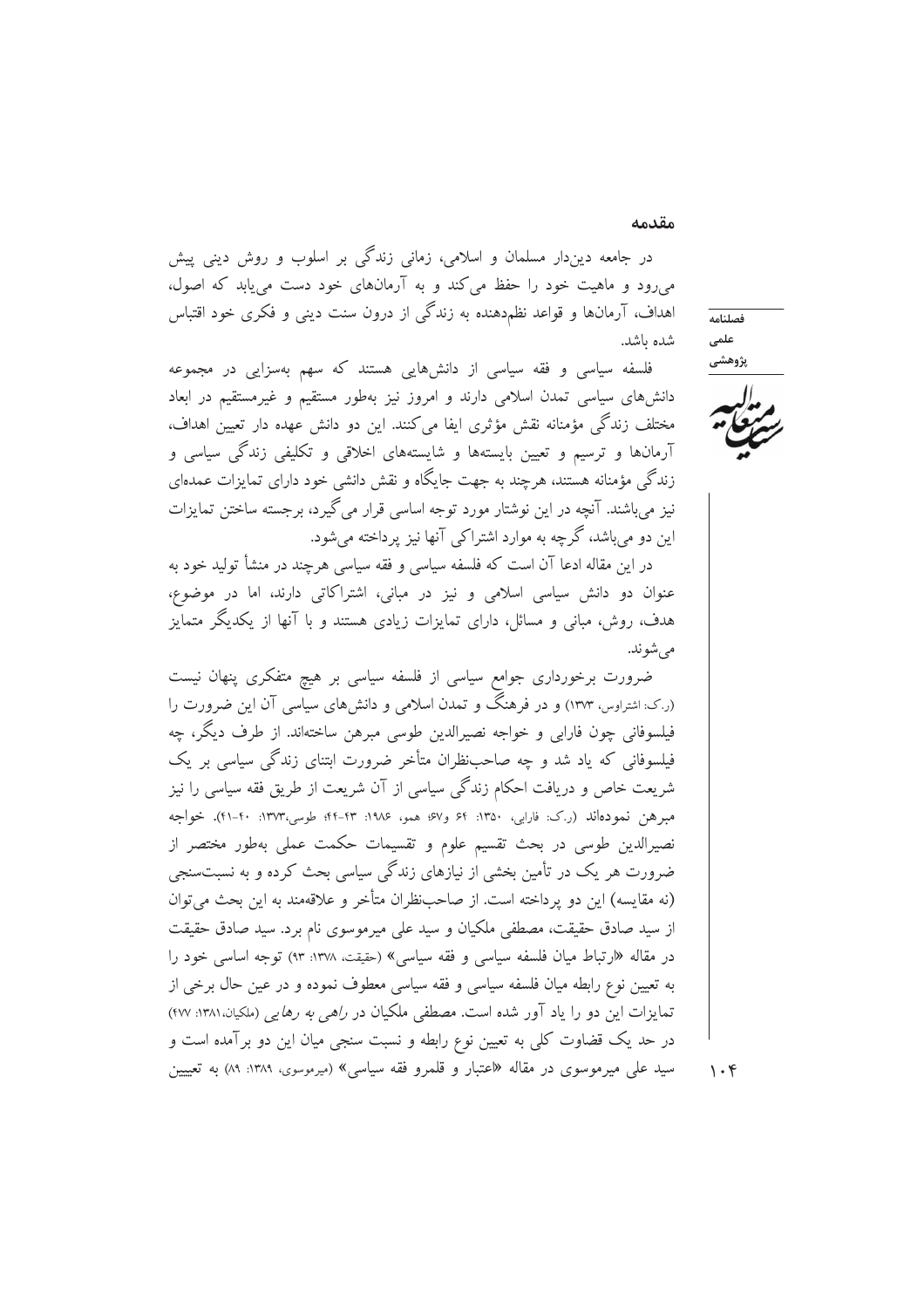مقدمه

در جامعه دیندار مسلمان و اسلامی، زمانی زندگی بر اسلوب و روش دینی پیش می رود و ماهیت خود را حفظ می کند و به آرمانهای خود دست می یابد که اصول، اهداف، آرمانها و قواعد نظم دهنده به زندگی از درون سنت دینی و فکری خود اقتباس شده ىاشد.

فلسفه سیاسی و فقه سیاسی از دانشهایی هستند که سهم بهسزایی در مجموعه دانشهای سیاسی تمدن اسلامی دارند و امروز نیز بهطور مستقیم و غیرمستقیم در ابعاد مختلف زندگی مؤمنانه نقش مؤثری ایفا میکنند. این دو دانش عهده دار تعیین اهداف، آرمانها و ترسیم و تعیین بایستهها و شایستههای اخلاقی و تکلیفی زندگی سیاسی و زندگی مؤمنانه هستند، هرچند به جهت جایگاه و نقش دانشی خود دارای تمایزات عمدهای نیز می باشند. آنچه در این نوشتار مورد توجه اساسی قرار می گیرد، برجسته ساختن تمایزات این دو می باشد، گرچه به موارد اشتراکی آنها نیز پرداخته می شود.

در این مقاله ادعا آن است که فلسفه سیاسی و فقه سیاسی هرچند در منشأ تولید خود به عنوان دو دانش سیاسی اسلامی و نیز در مبانی، اشتراکاتی دارند، اما در موضوع، هدف، روش، مبانی و مسائل، دارای تمایزات زیادی هستند و با آنها از یکدیگر متمایز م<sub>ی شو</sub> ند.

ضرورت برخورداری جوامع سیاسی از فلسفه سیاسی بر هیچ متفکری پنهان نیست (ر.ک: اشتراوس، ۱۳۷۳) و در فرهنگ و تمدن اسلامی و دانشهای سیاسی آن این ضرورت را فیلسوفانی چون فارابی و خواجه نصیرالدین طوسی مبرهن ساختهاند. از طرف دیگر، چه فیلسوفانی که یاد شد و چه صاحبنظران متأخر ضرورت ابتنای زندگی سیاسی بر یک شریعت خاص و دریافت احکام زندگی سیاسی از آن شریعت از طریق فقه سیاسی را نیز مبرهن نمودهاند (ر.ک: فارابی، ۱۳۵۰: ۶۴ و۶۷ همو، ۱۹۸۶: ۴۳-۴۴؛ طوسی،۱۳۷۳: ۴۰-۴۱). خواجه نصیرالدین طوسی در بحث تقسیم علوم و تقسیمات حکمت عملی بهطور مختصر از ضرورت هر یک در تأمین بخشی از نیازهای زندگی سیاسی بحث کرده و به نسبتسنجی (نه مقايسه) اين دو پرداخته است. از صاحبنظران متأخر و علاقهمند به اين بحث مي توان از سید صادق حقیقت، مصطفی ملکیان و سید علی میرموسوی نام برد. سید صادق حقیقت در مقاله «ارتباط ميان فلسفه سياسي و فقه سياسي» (حقيقت، ١٣٧٨: ٩٣) توجه اساسي خود را به تعیین نوع رابطه میان فلسفه سیاسی و فقه سیاسی معطوف نموده و در عین حال برخی از تمایزات این دو را یاد آور شده است. مصطفی ملکیان در *راهی به رهایی* (ملکیان،۱۳۸۱: ۴۷۷) در حد یک قضاوت کلی به تعیین نوع رابطه و نسبت سنجی میان این دو برآمده است و سید علی میرموسوی در مقاله «اعتبار و قلمرو فقه سیاسی» (میرموسوی، ۱۳۸۹: ۸۹) به تعییین

علمى پژوهشی

فصلنامه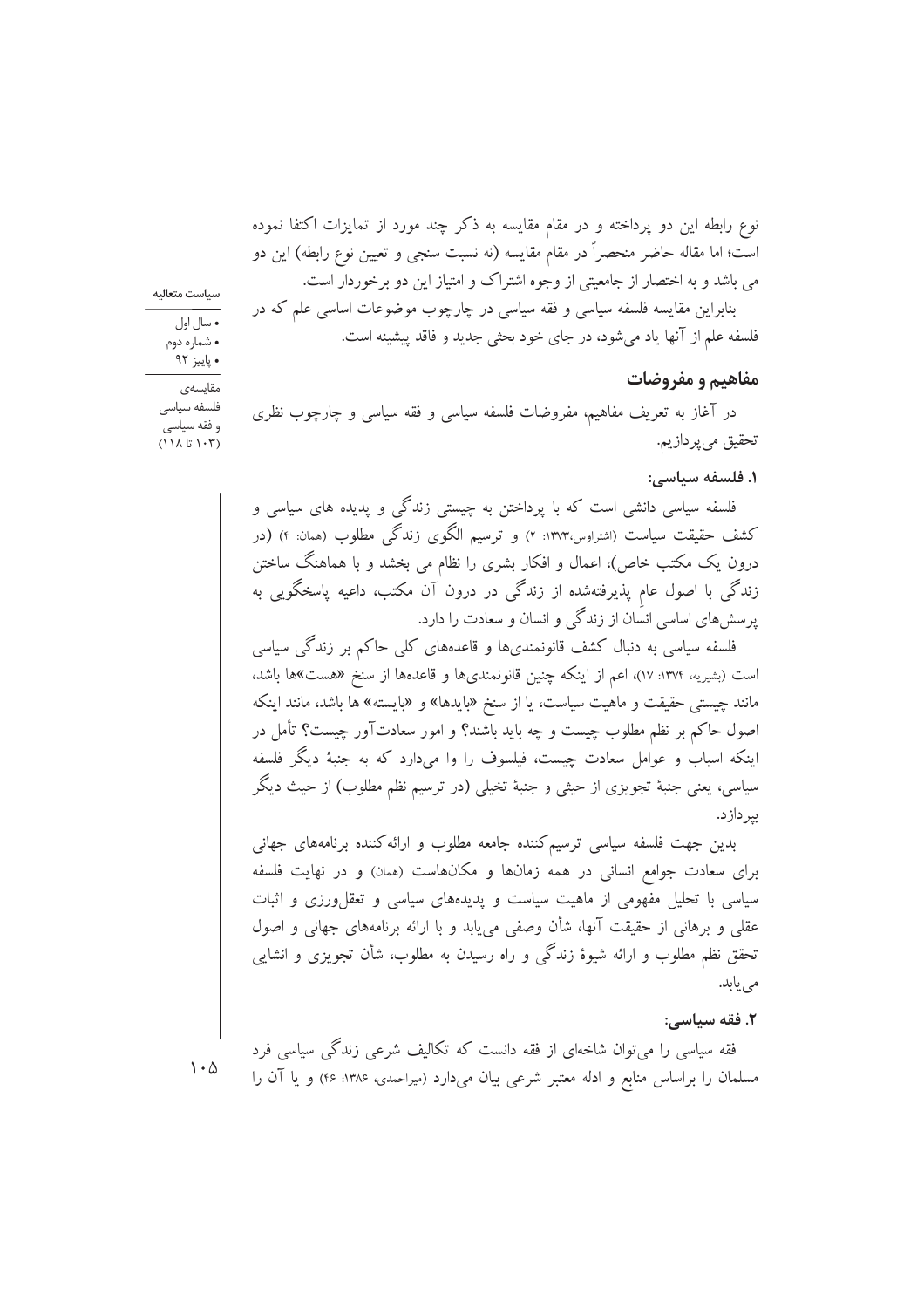نوع رابطه این دو پرداخته و در مقام مقایسه به ذکر چند مورد از تمایزات اکتفا نموده است؛ اما مقاله حاضر منحصراً در مقام مقايسه (نه نسبت سنجي و تعيين نوع رابطه) اين دو می باشد و به اختصار از جامعیتی از وجوه اشتراک و امتیاز این دو برخوردار است.

بنابراین مقایسه فلسفه سیاسی و فقه سیاسی در چارچوب موضوعات اساسی علم که در فلسفه علم از آنها ياد مي شود، در جاي خود بحثي جديد و فاقد پيشينه است.

#### مفاهیم و مفروضات

در آغاز به تعریف مفاهیم، مفروضات فلسفه سیاسی و فقه سیاسی و چارچوب نظری تحقيق ميپردازيم.

١. فلسفه سياسي:

فلسفه سیاسی دانشی است که با پرداختن به چیستی زندگی و پدیده های سیاسی و کشف حقیقت سیاست (اشتراوس،۱۳۷۳: ۲) و ترسیم الگوی زندگی مطلوب (همان: ۴) (در درون یک مکتب خاص)، اعمال و افکار بشری را نظام می بخشد و با هماهنگ ساختن زندگی با اصول عام پذیرفتهشده از زندگی در درون آن مکتب، داعیه پاسخگویی به یرسش های اساسی انسان از زندگی و انسان و سعادت را دارد.

فلسفه سیاسی به دنبال کشف قانونمندیها و قاعدههای کلی حاکم بر زندگی سیاسی است (بشیریه، ۱۳۷۴: ۱۷)، اعم از اینکه چنین قانونمندیها و قاعدهها از سنخ «هست»ها باشد، مانند چیستی حقیقت و ماهیت سیاست، یا از سنخ «بایدها» و «بایسته» ها باشد، مانند اینکه اصول حاکم بر نظم مطلوب چیست و چه باید باشند؟ و امور سعادتآور چیست؟ تأمل در اینکه اسباب و عوامل سعادت چیست، فیلسوف را وا می،دارد که به جنبهٔ دیگر فلسفه سیاسی، یعنی جنبهٔ تجویزی از حیثی و جنبهٔ تخیلی (در ترسیم نظم مطلوب) از حیث دیگر بير داز د.

بدین جهت فلسفه سیاسی ترسیمکننده جامعه مطلوب و ارائهکننده برنامههای جهانی برای سعادت جوامع انسانی در همه زمانها و مکانهاست (همان) و در نهایت فلسفه سیاسی با تحلیل مفهومی از ماهیت سیاست و پدیدههای سیاسی و تعقل ورزی و اثبات عقلی و برهانی از حقیقت آنها، شأن وصفی می پابد و با ارائه برنامههای جهانی و اصول تحقق نظم مطلوب و ارائه شیوهٔ زندگی و راه رسیدن به مطلوب، شأن تجویزی و انشایی می یابد.

# ٢. فقه سياسي:

فقه سیاسی را می توان شاخهای از فقه دانست که تکالیف شرعی زندگی سیاسی فرد  $\mathcal{N} \cdot \mathcal{N}$ مسلمان را براساس منابع و ادله معتبر شرعی بیان میدارد (میراحمدی، ۱۳۸۶: ۴۶) و یا آن را

مقايسەي فلسفه سياسى و فقه سياسي  $(111151.7)$ 

سياست متعاليه

• سال اول

• شماره دوم • پاييز ۹۲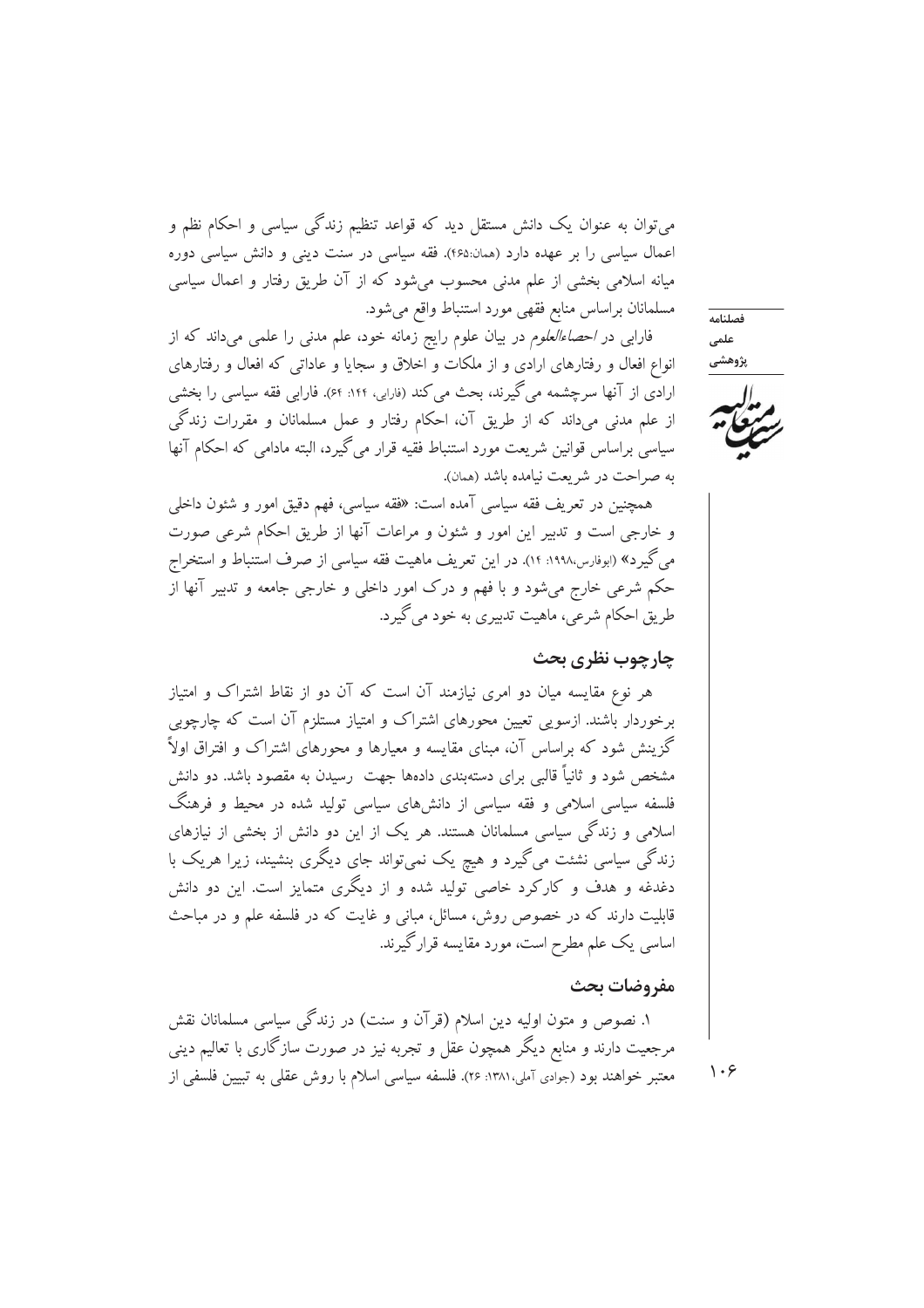میتوان به عنوان یک دانش مستقل دید که قواعد تنظیم زندگی سیاسی و احکام نظم و اعمال سیاسی را بر عهده دارد (همان:۴۶۵). فقه سیاسی در سنت دینی و دانش سیاسی دوره میانه اسلامی بخشی از علم مدنی محسوب میشود که از آن طریق رفتار و اعمال سیاسی مسلمانان براساس منابع فقهى مورد استنباط واقع مىشود.

فارابی در احصاءالعلوم در بیان علوم رایج زمانه خود، علم مدنی را علمی میداند که از انواع افعال و رفتارهای ارادی و از ملکات و اخلاق و سجایا و عاداتی که افعال و رفتارهای ارادی از آنها سرچشمه می گیرند، بحث می کند (فارابی، ۱۴۴: ۶۴). فارابی فقه سیاسی را بخشی از علم مدنی میداند که از طریق آن، احکام رفتار و عمل مسلمانان و مقررات زندگی سیاسی براساس قوانین شریعت مورد استنباط فقیه قرار می گیرد، البته مادامی که احکام آنها به صراحت در شريعت نيامده باشد (همان).

همچنین در تعریف فقه سیاسی آمده است: «فقه سیاسی، فهم دقیق امور و شئون داخلی و خارجی است و تدبیر این امور و شئون و مراعات آنها از طریق احکام شرعی صورت می گیرد» (ابوفارس،۱۹۹۸: ۱۴). در این تعریف ماهیت فقه سیاسی از صرف استنباط و استخراج حکم شرعی خارج می شود و با فهم و درک امور داخلی و خارجی جامعه و تدبیر آنها از طریق احکام شرعی، ماهیت تدبیری به خود می گیرد.

# چارچوب نظری بحث

هر نوع مقایسه میان دو امری نیازمند آن است که آن دو از نقاط اشتراک و امتیاز برخوردار باشند. ازسویی تعیین محورهای اشتراک و امتیاز مستلزم آن است که چارچوبی گزینش شود که براساس آن، مبنای مقایسه و معیارها و محورهای اشتراک و افتراق اولاً مشخص شود و ثانیاً قالبی برای دستهبندی دادهها جهت رسیدن به مقصود باشد. دو دانش فلسفه سیاسی اسلامی و فقه سیاسی از دانشهای سیاسی تولید شده در محیط و فرهنگ اسلامی و زندگی سیاسی مسلمانان هستند. هر یک از این دو دانش از بخشی از نیازهای زندگی سیاسی نشئت می گیرد و هیچ یک نمی تواند جای دیگری بنشیند، زیرا هریک با دغدغه و هدف و کارکرد خاصی تولید شده و از دیگری متمایز است. این دو دانش .<br>قابلیت دارند که در خصوص روش، مسائل، مبانی و غایت که در فلسفه علم و در مباحث اساسی یک علم مطرح است، مورد مقایسه قرارگیرند.

# مفروضات بحث

١. نصوص و متون اوليه دين اسلام (قرآن و سنت) در زندگي سياسي مسلمانان نقش مرجعیت دارند و منابع دیگر همچون عقل و تجربه نیز در صورت سازگاری با تعالیم دینی معتبر خواهند بود (جوادی آملی،۱۳۸۱: ۲۶). فلسفه سیاسی اسلام با روش عقلی به تبیین فلسفی از فصلنامه علمى پژوهشی



 $\mathcal{A} \cdot \mathcal{F}$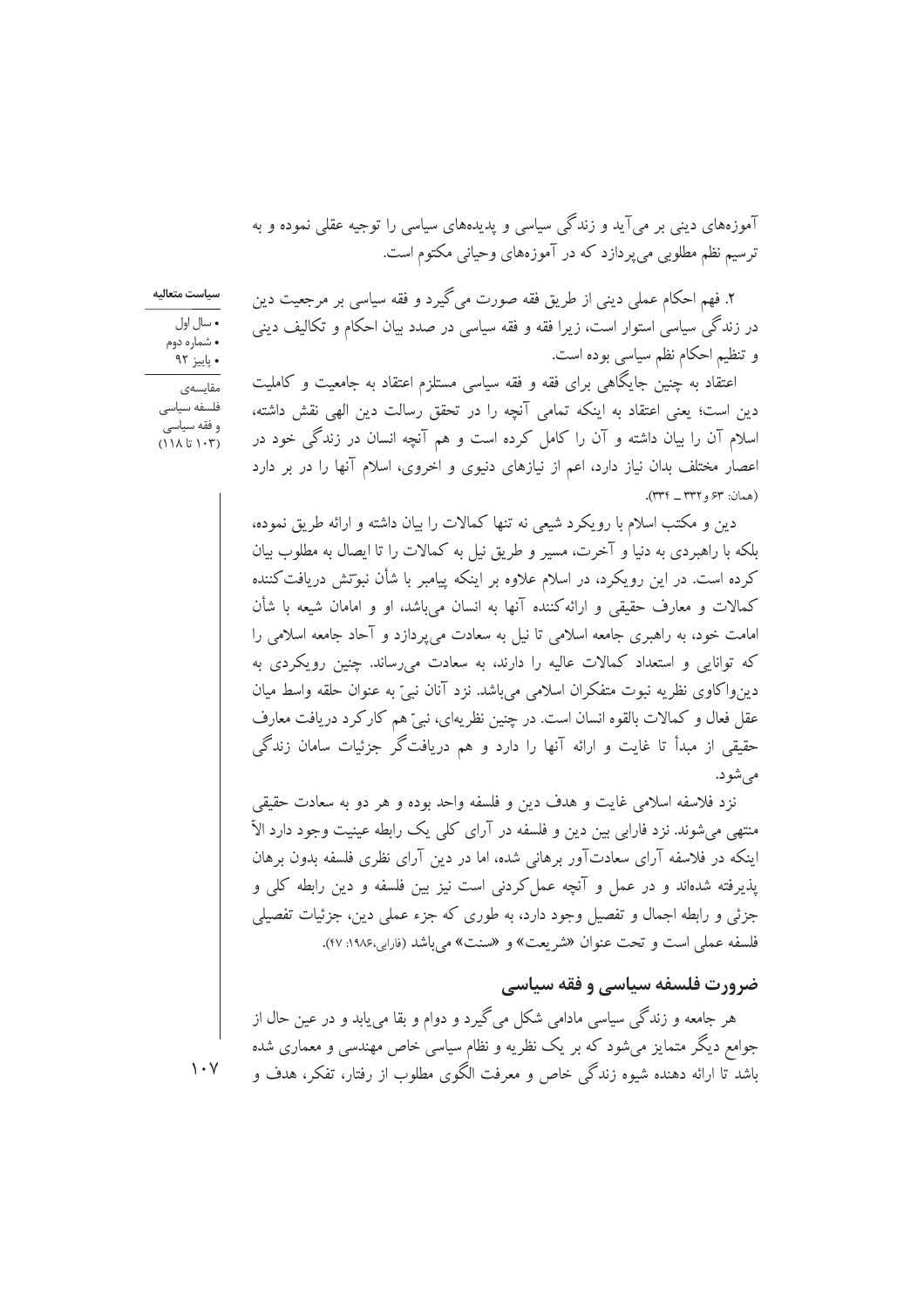آموزههای دینی بر می آید و زندگی سیاسی و پدیدههای سیاسی را توجیه عقلی نموده و به ترسیم نظم مطلوبی می پردازد که در آموزههای وحیانی مکتوم است.

سياست متعاليه

• سال اول

• پاييز ۹۲

• شماره دوم

۲. فهم احکام عملی دینی از طریق فقه صورت می گیرد و فقه سیاسی بر مرجعیت دین در زندگی سیاسی استوار است، زیرا فقه و فقه سیاسی در صدد بیان احکام و تکالیف دینی و تنظیم احکام نظم سیاسی بوده است.

اعتقاد به چنین جایگاهی برای فقه و فقه سیاسی مستلزم اعتقاد به جامعیت و کاملیت دین است؛ یعنی اعتقاد به اینکه تمامی آنچه را در تحقق رسالت دین الهی نقش داشته، اسلام آن را بیان داشته و آن را کامل کرده است و هم آنچه انسان در زندگی خود در اعصار مختلف بدان نیاز دارد، اعم از نیازهای دنیوی و اخروی، اسلام آنها را در بر دارد (همان: ۶۳ و ۳۳۲ \_ ۳۳۴).

دین و مکتب اسلام با رویکرد شیعی نه تنها کمالات را بیان داشته و ارائه طریق نموده، بلکه با راهبردی به دنیا و آخرت، مسیر و طریق نیل به کمالات را تا ایصال به مطلوب بیان کرده است. در این رویکرد، در اسلام علاوه بر اینکه پیامبر با شأن نبوتش دریافت کننده كمالات و معارف حقيقى و ارائه كننده آنها به انسان مى باشد، او و امامان شيعه با شأن امامت خود، به راهبری جامعه اسلامی تا نیل به سعادت میپردازد و آحاد جامعه اسلامی را که توانایی و استعداد کمالات عالیه را دارند، به سعادت می رساند. چنین رویکردی به دین واکاوی نظر یه نبوت متفکران اسلامی می باشد. نزد آنان نبیّ به عنوان حلقه واسط میان عقل فعال و کمالات بالقوه انسان است. در چنین نظریهای، نبیّ هم کارکرد دریافت معارف حقیقی از مبدأ تا غایت و ارائه آنها را دارد و هم دریافتگر جزئیات سامان زندگی می شو د.

نزد فلاسفه اسلامی غایت و هدف دین و فلسفه واحد بوده و هر دو به سعادت حقیقی منتهي مي شوند. نزد فارابي بين دين و فلسفه در آراي كلي يک رابطه عينيت وجود دارد الآ اینکه در فلاسفه آرای سعادتآور برهانی شده، اما در دین آرای نظری فلسفه بدون برهان یذیرفته شدهاند و در عمل و آنچه عمل کردنی است نیز بین فلسفه و دین رابطه کلی و جزئي و رابطه اجمال و تفصيل وجود دارد، به طوري كه جزء عملي دين، جزئيات تفصيلي فلسفه عملي است و تحت عنوان «شريعت» و «سنت» مي باشد (فارابي،١٩٨۶: ٢٧).

# ضرورت فلسفه سياسي و فقه سياسي

هر جامعه و زندگی سیاسی مادامی شکل میگیرد و دوام و بقا می،یابد و در عین حال از جوامع دیگر متمایز می شود که بر یک نظریه و نظام سیاسی خاص مهندسی و معماری شده باشد تا ارائه دهنده شیوه زندگی خاص و معرفت الگوی مطلوب از رفتار، تفکر، هدف و

مقايسەي فلسفه سياسى و فقه سياسي  $(111151.7)$ 

 $\cdot$  Y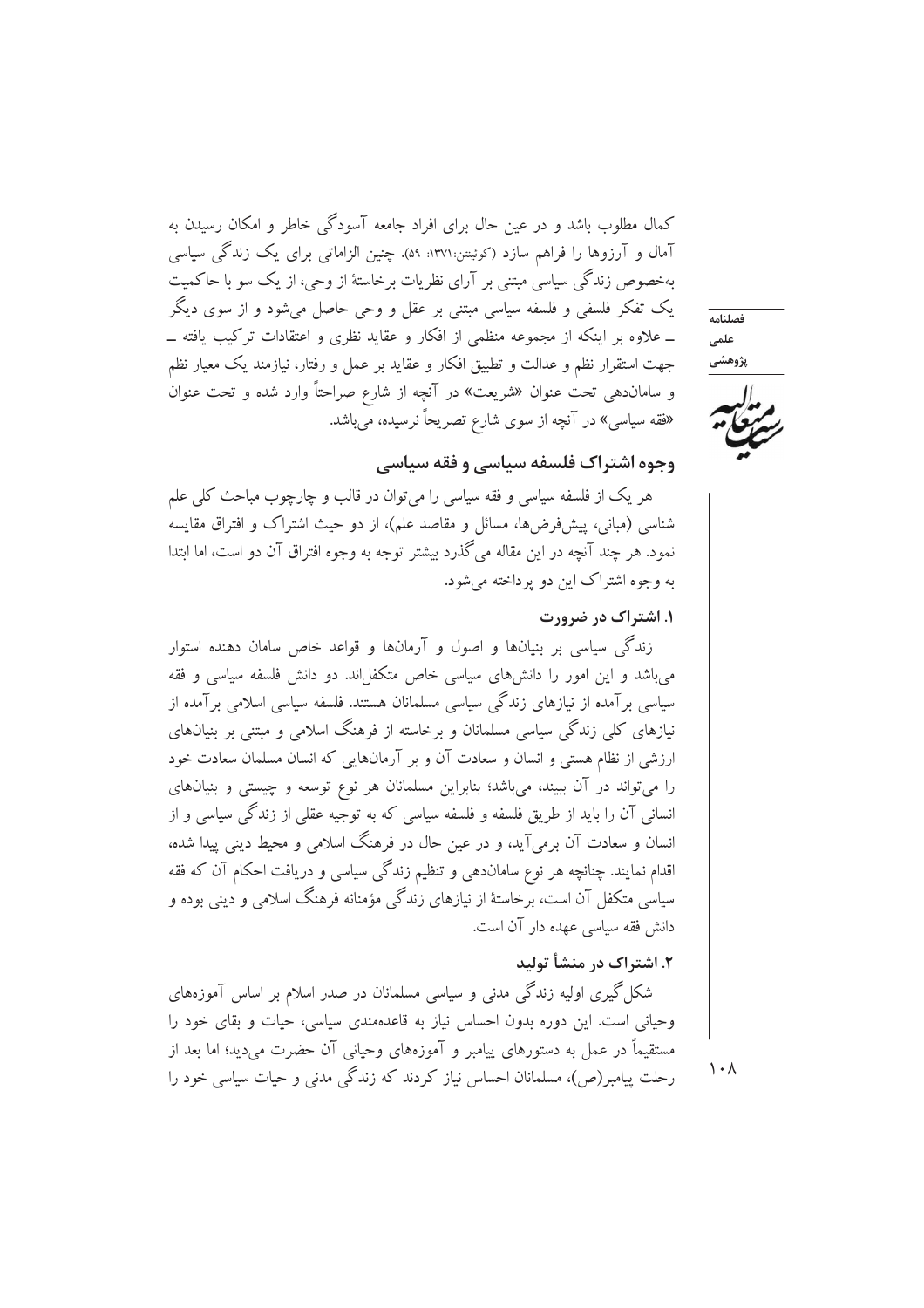کمال مطلوب باشد و در عین حال برای افراد جامعه آسودگی خاطر و امکان رسیدن به آمال و آرزوها را فراهم سازد (کوئینتن:۱۳۷۱: ۵۹). چنین الزاماتی برای یک زندگی سیاسی بهخصوص زندگی سیاسی مبتنی بر آرای نظریات برخاستهٔ از وحی، از یک سو با حاکمیت یک تفکر فلسفی و فلسفه سیاسی مبتنی بر عقل و وحی حاصل می شود و از سوی دیگر ــ علاوه بر اینکه از مجموعه منظمی از افکار و عقاید نظری و اعتقادات ترکیب یافته ــ جهت استقرار نظم و عدالت و تطبیق افکار و عقاید بر عمل و رفتار، نیازمند یک معیار نظم و ساماندهی تحت عنوان «شریعت» در آنچه از شارع صراحتاً وارد شده و تحت عنوان «فقه سیاسی» در آنچه از سوی شارع تصریحاً نرسیده، میباشد.

فصلنامه علمى پژوهشی



وجوه اشتراك فلسفه سياسي و فقه سياسي

هر یک از فلسفه سیاسی و فقه سیاسی را می توان در قالب و چارچوب مباحث کلی علم شناسی (مبانی، پیشفررضها، مسائل و مقاصد علم)، از دو حیث اشتراک و افتراق مقایسه نمود. هر چند آنچه در این مقاله می گذرد بیشتر توجه به وجوه افتراق آن دو است، اما ابتدا به وجوه اشتراک این دو پرداخته می شود.

## ١. اشتراک در ضرورت

زندگی سیاسی بر بنیانها و اصول و آرمانها و قواعد خاص سامان دهنده استوار می باشد و این امور را دانش های سیاسی خاص متکفل اند. دو دانش فلسفه سیاسی و فقه سیاسی برآمده از نیازهای زندگی سیاسی مسلمانان هستند. فلسفه سیاسی اسلامی برآمده از نیازهای کلی زندگی سیاسی مسلمانان و برخاسته از فرهنگ اسلامی و مبتنی بر بنیانهای ارزشی از نظام هستی و انسان و سعادت آن و بر آرمانهایی که انسان مسلمان سعادت خود را میتواند در آن ببیند، میباشد؛ بنابراین مسلمانان هر نوع توسعه و چیستی و بنیانهای انسانی آن را باید از طریق فلسفه و فلسفه سیاسی که به توجیه عقلی از زندگی سیاسی و از انسان و سعادت آن برمی آید، و در عین حال در فرهنگ اسلامی و محیط دینی پیدا شده، اقدام نمایند. چنانچه هر نوع ساماندهی و تنظیم زندگی سیاسی و دریافت احکام آن که فقه سیاسی متکفل آن است، برخاستهٔ از نیازهای زندگی مؤمنانه فرهنگ اسلامی و دینی بوده و دانش فقه سیاسی عهده دار آن است.

# ۲. اشتراک در منشأ تولید

شکل گیری اولیه زندگی مدنی و سیاسی مسلمانان در صدر اسلام بر اساس آموزههای وحیانی است. این دوره بدون احساس نیاز به قاعدهمندی سیاسی، حیات و بقای خود را مستقیماً در عمل به دستورهای پیامبر و آموزههای وحیانی آن حضرت می،دید؛ اما بعد از رحلت پیامبر(ص)، مسلمانان احساس نیاز کردند که زندگی مدنی و حیات سیاسی خود را

 $\lambda \cdot \lambda$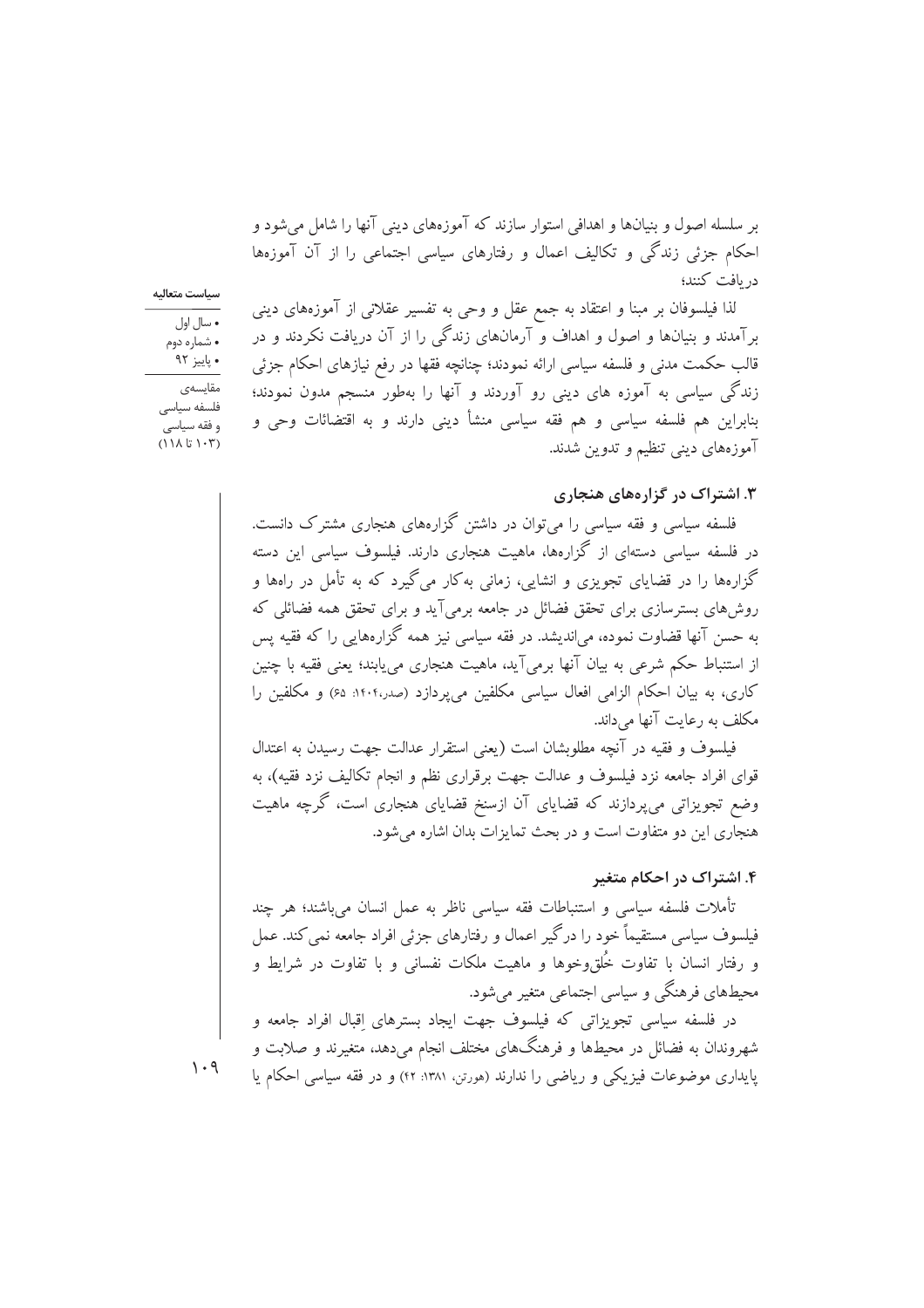بر سلسله اصول و بنیانها و اهدافی استوار سازند که آموزههای دینی آنها را شامل می شود و احکام جزئی زندگی و تکالیف اعمال و رفتارهای سیاسی اجتماعی را از آن آموزهها در بافت كنند؛

#### سياست متعاليه

• سال اول

• شماره دوم • پاييز ۹۲

لذا فیلسوفان بر مبنا و اعتقاد به جمع عقل و وحی به تفسیر عقلانی از آموزههای دینی برآمدند و بنیانها و اصول و اهداف و آرمانهای زندگی را از آن دریافت نکردند و در قالب حکمت مدنی و فلسفه سیاسی ارائه نمودند؛ چنانچه فقها در رفع نیازهای احکام جزئی زندگی سیاسی به آموزه های دینی رو آوردند و آنها را بهطور منسجم مدون نمودند؛ بنابراین هم فلسفه سیاسی و هم فقه سیاسی منشأ دینی دارند و به اقتضائات وحی و آموزههای دینی تنظیم و تدوین شدند.

#### ۳. اشتراک در گزارههای هنجاری

.<br>فلسفه سیاسی و فقه سیاسی را می توان در داشتن گزارههای هنجاری مشترک دانست. در فلسفه سیاسی دستهای از گزارهها، ماهیت هنجاری دارند. فیلسوف سیاسی این دسته گزارهها را در قضایای تجویزی و انشایی، زمانی به کار می گیرد که به تأمل در راهها و روش های بستر سازی برای تحقق فضائل در جامعه برمی آید و برای تحقق همه فضائلی که به حسن آنها قضاوت نموده، می¦ندیشد. در فقه سیاسی نیز همه گزارههایی را که فقیه پس از استنباط حکم شرعی به بیان آنها برمیآید، ماهیت هنجاری می پابند؛ یعنی فقیه با چنین کاری، به بیان احکام الزامی افعال سیاسی مکلفین می پردازد (صدر،۱۴۰۴: ۶۵) و مکلفین را مکلف به رعایت آنها می داند.

فیلسوف و فقیه در آنچه مطلوبشان است (یعنی استقرار عدالت جهت رسیدن به اعتدال قوای افراد جامعه نزد فیلسوف و عدالت جهت برقراری نظم و انجام تکالیف نزد فقیه)، به وضع تجویزاتی می پردازند که قضایای آن ازسنخ قضایای هنجاری است، گرچه ماهیت هنجاري اين دو متفاوت است و در بحث تمايزات بدان اشاره مي شود.

#### ۴. اشتراک در احکام متغیر

تأملات فلسفه سياسي و استنباطات فقه سياسي ناظر به عمل انسان مي باشند؛ هر چند فیلسوف سیاسی مستقیماً خود را درگیر اعمال و رفتارهای جزئی افراد جامعه نمی کند. عمل و رفتار انسان با تفاوت خُلق وخوها و ماهیت ملکات نفسانی و با تفاوت در شرایط و محیطهای فرهنگی و سیاسی اجتماعی متغیر می شود.

در فلسفه سیاسی تجویزاتی که فیلسوف جهت ایجاد بسترهای اقبال افراد جامعه و شهروندان به فضائل در محیطها و فرهنگهای مختلف انجام میدهد، متغیرند و صلابت و یایداری موضوعات فیزیکی و ریاضی را ندارند (هورتن، ۱۳۸۱: ۴۲) و در فقه سیاسی احکام یا

مقايسەي فلسفه سياسى و فقه سياسي  $(111151.7)$ 

 $1.9$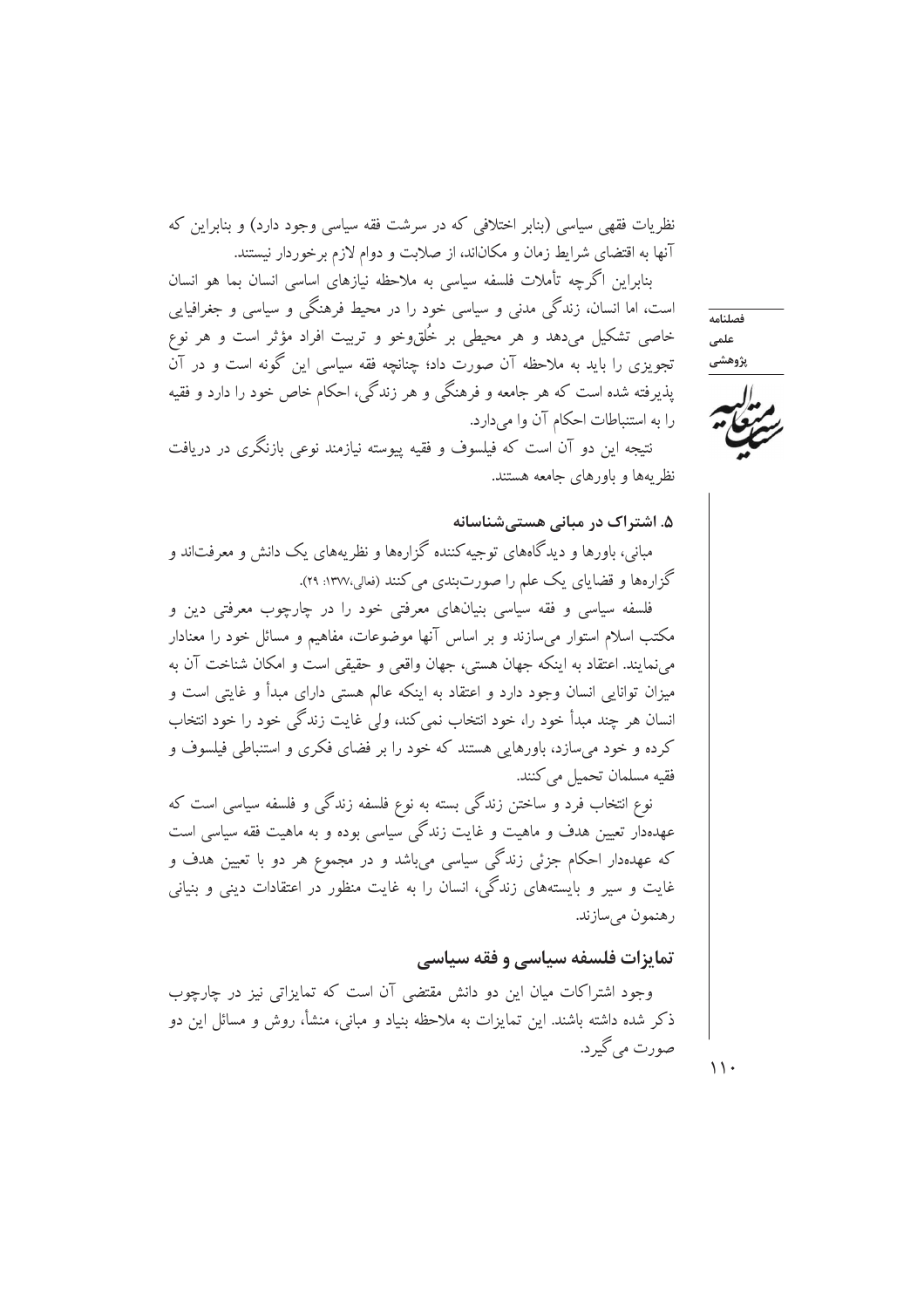نظریات فقهی سیاسی (بنابر اختلافی که در سرشت فقه سیاسی وجود دارد) و بنابراین که آنها به اقتضای شرایط زمان و مکاناند، از صلابت و دوام لازم برخوردار نیستند.

بنابراین اگرچه تأملات فلسفه سیاسی به ملاحظه نیازهای اساسی انسان بما هو انسان است، اما انسان، زندگی مدنی و سیاسی خود را در محیط فرهنگی و سیاسی و جغرافیایی خاصی تشکیل میدهد و هر محیطی بر خُلقوخو و تربیت افراد مؤثر است و هر نوع تجویزی را باید به ملاحظه آن صورت داد؛ چنانچه فقه سیاسی این گونه است و در آن یذیرفته شده است که هر جامعه و فرهنگی و هر زندگی، احکام خاص خود را دارد و فقیه را به استنباطات احکام آن وا می دارد.

نتیجه این دو آن است که فیلسوف و فقیه پیوسته نیازمند نوعی بازنگری در دریافت نظریهها و باورهای جامعه هستند.

# ۵. اشتراک در مبانی هستیشناسانه

مبانی، باورها و دیدگاههای توجیه کننده گزارهها و نظریههای یک دانش و معرفتاند و گزارهها و قضایای یک علم را صورتبندی می کنند (فعالی،۱۳۷۷: ۲۹).

.<br>فلسفه سیاسی و فقه سیاسی بنیانهای معرفتی خود را در چارچوب معرفتی دین و مکتب اسلام استوار می سازند و بر اساس آنها موضوعات، مفاهیم و مسائل خود را معنادار می نمایند. اعتقاد به اینکه جهان هستی، جهان واقعی و حقیقی است و امکان شناخت آن به میزان توانایی انسان وجود دارد و اعتقاد به اینکه عالم هستی دارای مبدأ و غایتی است و انسان هر چند مبدأ خود را، خود انتخاب نمي كند، ولي غايت زندگي خود را خود انتخاب کرده و خود می سازد، باورهایی هستند که خود را بر فضای فکری و استنباطی فیلسوف و فقيه مسلمان تحميل مي كنند.

نوع انتخاب فرد و ساختن زندگی بسته به نوع فلسفه زندگی و فلسفه سیاسی است که ۔<br>عهدهدار تعیین هدف و ماهیت و غایت زندگی سیاسی بوده و به ماهیت فقه سیاسی است که عهدهدار احکام جزئي زندگي سياسي مي،پاشد و در مجموع هر دو با تعيين هدف و غایت و سیر و بایستههای زندگی، انسان را به غایت منظور در اعتقادات دینی و بنیانی رهنمون مي سازند.

### تمایزات فلسفه سیاسی و فقه سیاسی

وجود اشتراکات میان این دو دانش مقتضی آن است که تمایزاتی نیز در چارچوب ذکر شده داشته باشند. این تمایزات به ملاحظه بنیاد و مبانی، منشأ، روش و مسائل این دو صورت مي گير د.

فصلنامه علمى پژوهشی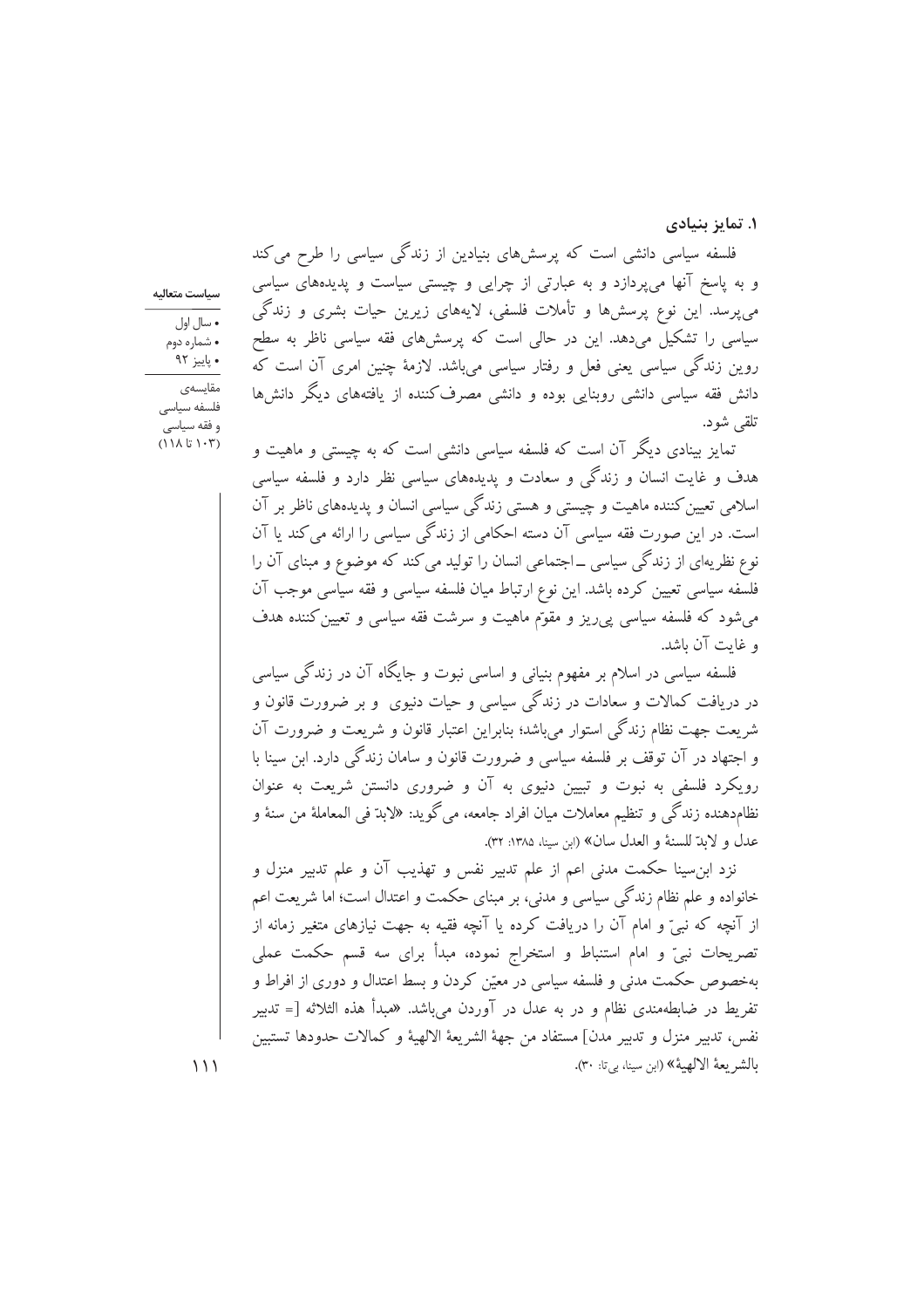۱. تمایز بنیادی

فلسفه سیاسی دانشی است که پرسشهای بنیادین از زندگی سیاسی را طرح می کند و به پاسخ آنها می پردازد و به عبارتی از چرایی و چیستی سیاست و پدیدههای سیاسی می،پرسد. این نوع پرسشها و تأملات فلسفی، لایههای زیرین حیات بشری و زندگی سیاسی را تشکیل میدهد. این در حالی است که پرسشهای فقه سیاسی ناظر به سطح روین زندگی سیاسی یعنی فعل و رفتار سیاسی میباشد. لازمهٔ چنین امری آن است که دانش فقه سیاسی دانشی روبنایی بوده و دانشی مصرف کننده از یافتههای دیگر دانشها تلقى شود.

تمایز بینادی دیگر آن است که فلسفه سیاسی دانشی است که به چیستی و ماهیت و هدف و غایت انسان و زندگی و سعادت و یدیدههای سیاسی نظر دارد و فلسفه سیاسی ۔<br>اسلامی تعیین کنندہ ماہیت و چیستی و ہستی زندگی سیاسی انسان و پدیدہھای ناظر پر آن است. در این صورت فقه سیاسی آن دسته احکامی از زندگی سیاسی را ارائه می کند یا آن نوع نظریهای از زندگی سیاسی ــ اجتماعی انسان را تولید می کند که موضوع و مبنای آن را .<br>فلسفه سیاسی تعیین کرده باشد. این نوع ارتباط میان فلسفه سیاسی و فقه سیاسی موجب آن می،شود که فلسفه سیاسی پی ریز و مقوّم ماهیت و سرشت فقه سیاسی و تعیین کننده هدف و غايت آن باشد.

فلسفه سیاسی در اسلام بر مفهوم بنیانی و اساسی نبوت و جایگاه آن در زندگی سیاسی در دریافت کمالات و سعادات در زندگی سیاسی و حیات دنیوی ً و بر ضرورت قانون و شریعت جهت نظام زندگی استوار می باشد؛ بنابراین اعتبار قانون و شریعت و ضرورت آن و اجتهاد در آن توقف بر فلسفه سیاسی و ضرورت قانون و سامان زندگی دارد. این سینا با رویکرد فلسفی به نبوت و تبیین دنیوی به آن و ضروری دانستن شریعت به عنوان نظامِدهنده زندگی و تنظیم معاملات میان افراد جامعه، میگوید: «لابدّ فی المعاملهٔ من سنهٔ و عدل و لابدّ للسنة و العدل سان» (ابن سينا، ١٣٨۵: ٣٢).

نزد ابن سینا حکمت مدنی اعم از علم تدبیر نفس و تهذیب آن و علم تدبیر منزل و خانواده و علم نظام زندگی سیاسی و مدنی، بر مبنای حکمت و اعتدال است؛ اما شریعت اعم از آنچه که نبیّ و امام آن را دریافت کرده یا آنچه فقیه به جهت نیازهای متغیر زمانه از تصریحات نبیّ و امام استنباط و استخراج نموده، مبدأ برای سه قسم حکمت عملی بهخصوص حکمت مدنی و فلسفه سیاسی در معیّن کردن و بسط اعتدال و دوری از افراط و تفریط در ضابطهمندی نظام و در به عدل در آوردن می باشد. «مبدأ هذه الثلاثه [= تدبیر نفس، تدبير منزل و تدبير مدن] مستفاد من جهة الشريعة الالهية و كمالات حدودها تستبين بالشر يعة الالهية» (ابن سينا، بي تا: ٣٠).

• شماره دوم • پاييز ۹۲ مقايسەي فلسفه سياسى

سياست متعاليه

• سال اول

وفقه سياسى  $(11117)$  تا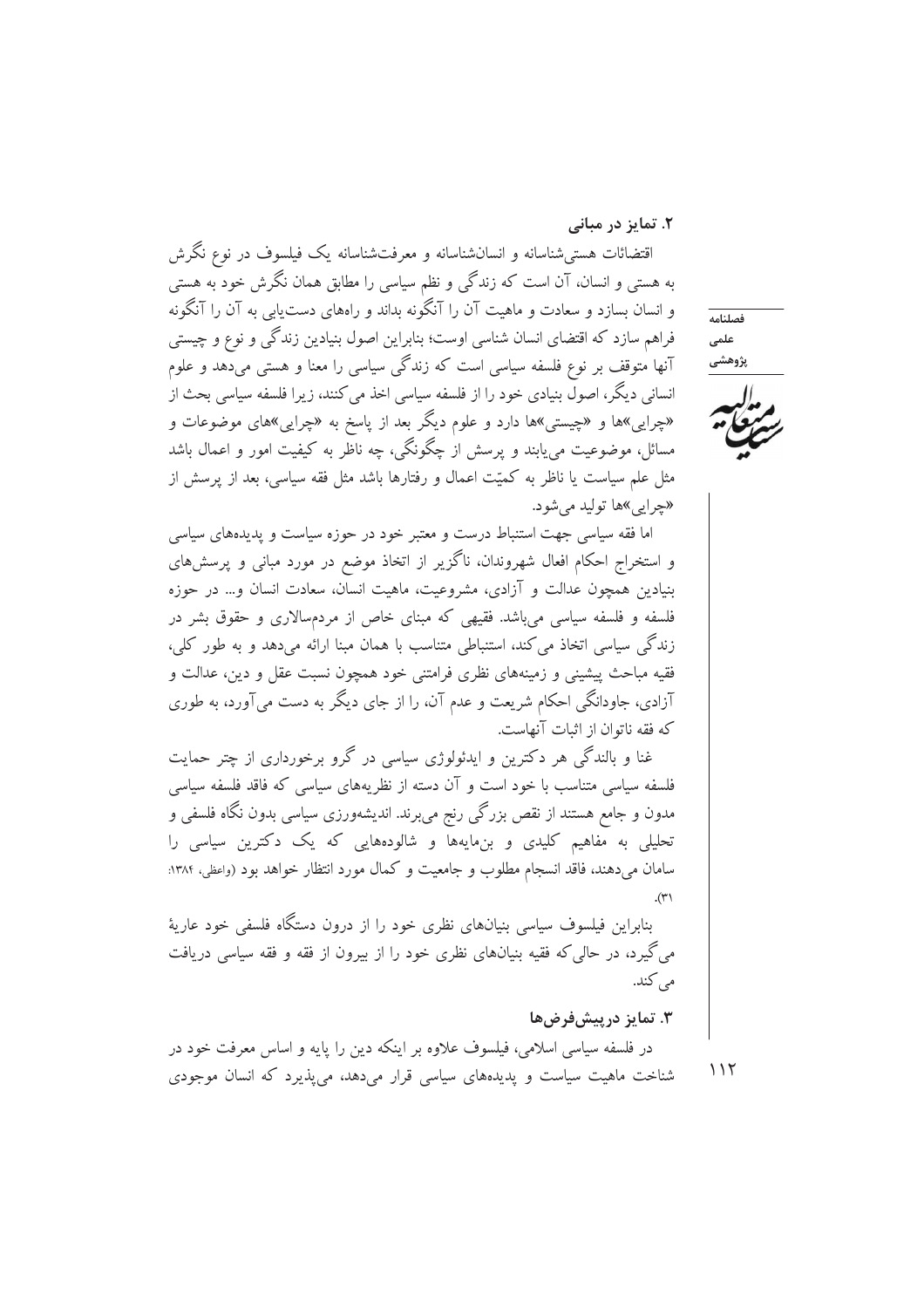۲. تمایز در مبانی

اقتضائات هستیشناسانه و انسانشناسانه و معرفتشناسانه یک فیلسوف در نوع نگرش به هستی و انسان، آن است که زندگی و نظم سیاسی را مطابق همان نگرش خود به هستی و انسان بسازد و سعادت و ماهیت آن را آنگونه بداند و راههای دست یابی به آن را آنگونه فراهم سازد که اقتضای انسان شناسی اوست؛ بنابراین اصول بنیادین زندگی و نوع و چیستی آنها متوقف بر نوع فلسفه سیاسی است که زندگی سیاسی را معنا و هستی می دهد و علوم انسانی دیگر، اصولّ بنیادی خود را از فلسفه سیاسی اخذ می کنند، زیرا فلسفه سیاسی بحث از «چرایی»ها و «چیستی»ها دارد و علوم دیگر بعد از پاسخ به «چرایی»های موضوعات و مسائل، موضوعیت می یابند و پرسش از چگونگی، چه ناظر به کیفیت امور و اعمال باشد مثل علم سیاست یا ناظر به کمیّت اعمال و رفتارها باشد مثل فقه سیاسی، بعد از پرسش از «چراپي»ها توليد مي شود.

اما فقه سیاسی جهت استنباط درست و معتبر خود در حوزه سیاست و پدیدههای سیاسی و استخراج احکام افعال شهروندان، ناگزیر از اتخاذ موضع در مورد مبانی و پرسشهای بنیادین همچون عدالت و آزادی، مشروعیت، ماهیت انسان، سعادت انسان و… در حوزه فلسفه و فلسفه سیاسی میباشد. فقیهی که مبنای خاص از مردمسالاری و حقوق بشر در زندگی سیاسی اتخاذ می کند، استنباطی متناسب با همان مبنا ارائه می دهد و به طور کلی، فقيه مباحث پيشينې و زمينههاي نظري فرامتنې خود همچون نسبت عقل و دين، عدالت و آزادی، جاودانگی احکام شریعت و عدم آن، را از جای دیگر به دست می آورد، به طوری كه فقه ناتوان از اثبات آنهاست.

غنا و بالندگی هر دکترین و ایدئولوژی سیاسی در گرو برخورداری از چتر حمایت .<br>فلسفه سیاسی متناسب با خود است و آن دسته از نظریههای سیاسی که فاقد فلسفه سیاسی مدون و جامع هستند از نقص بزرگی رنج می برند. اندیشهورزی سیاسی بدون نگاه فلسفی و تحلیلی به مفاهیم کلیدی و بنمایهها و شالودههایی که یک دکترین سیاسی را سامان میدهند، فاقد انسجام مطلوب و جامعیت و کمال مورد انتظار خواهد بود (واعظی، ۱۳۸۴:  $\hat{y}$ 

بنابراین فیلسوف سیاسی بنیانهای نظری خود را از درون دستگاه فلسفی خود عاریهٔ می گیرد، در حالی که فقیه بنیانهای نظری خود را از بیرون از فقه و فقه سیاسی دریافت می کند.

# ۳. تمایز درپیش فرضها

در فلسفه سیاسی اسلامی، فیلسوف علاوه بر اینکه دین را پایه و اساس معرفت خود در  $117$ شناخت ماهیت سیاست و پدیدههای سیاسی قرار میدهد، می پذیرد که انسان موجودی

فصلنامه علمى پژوهشی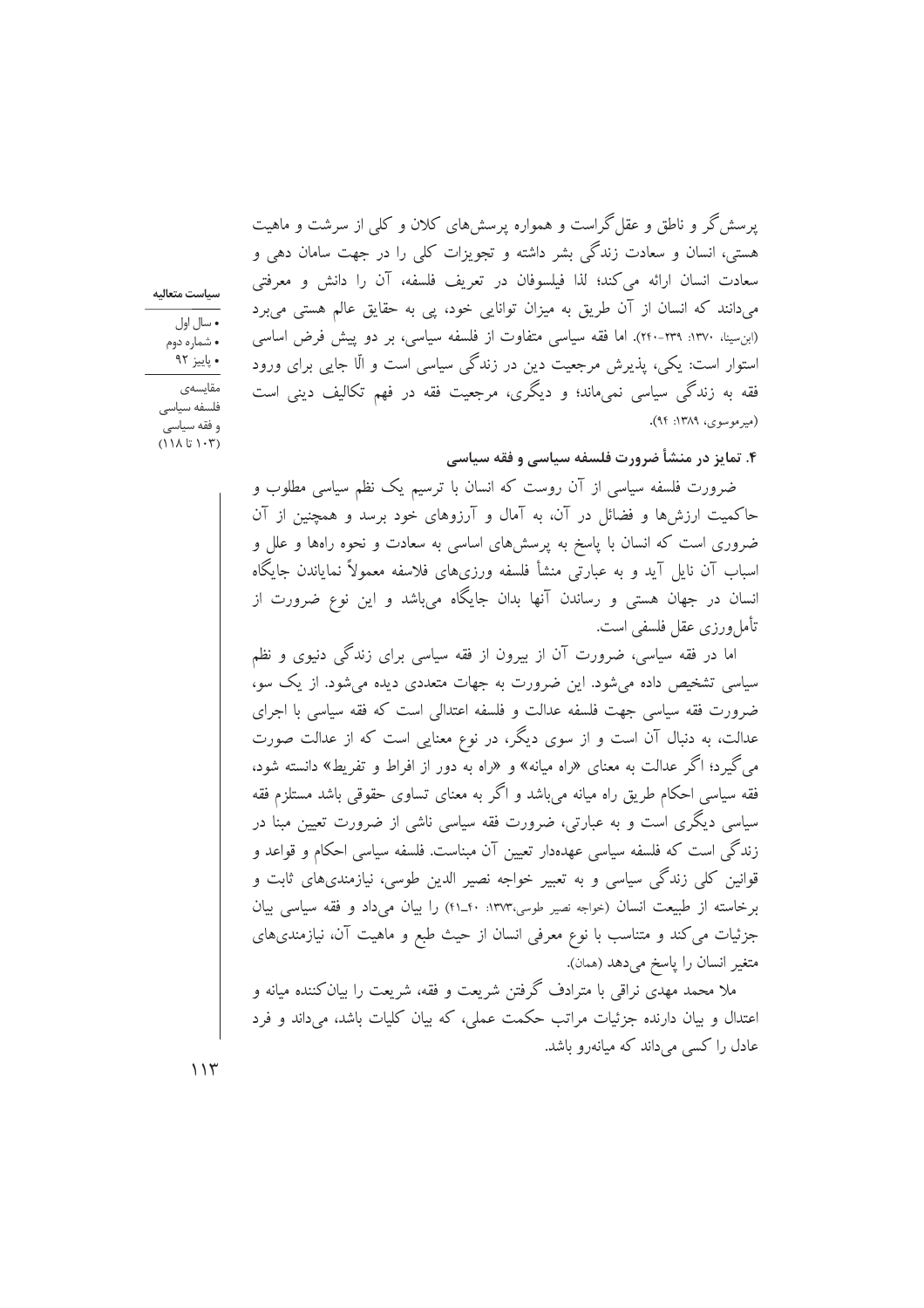پرسش گر و ناطق و عقل گراست و همواره پرسش های کلان و کلی از سرشت و ماهیت هستی، انسان و سعادت زندگی بشر داشته و تجویزات کلی را در جهت سامان دهی و سعادت انسان ارائه می کند؛ لذا فیلسوفان در تعریف فلسفه، آن را دانش و معرفتی می،دانند که انسان از آن طریق به میزان توانایی خود، یی به حقایق عالم هستی می برد (ابن سينا، ١٣٧٠: ٢٣٩-٢٢٠). اما فقه سياسي متفاوت از فلسفه سياسي، بر دو پيش فرض اساسي استوار است: یکی، پذیرش مرجعیت دین در زندگی سیاسی است و آلما جایی برای ورود فقه به زندگی سیاسی نمیماند؛ و دیگری، مرجعیت فقه در فهم تکالیف دینی است (میر موسوی، ۱۳۸۹: ۹۴).

سياست متعاليه

• سال اول • شماره دوم • پاييز ۹۲

مقايسەي فلسفه سياسى و فقه سياسي  $(111151.7)$ 

۴. تمایز در منشأ ضرورت فلسفه سیاسی و فقه سیاسی

ضرورت فلسفه سیاسی از آن روست که انسان با ترسیم یک نظم سیاسی مطلوب و حاکمیت ارزش ها و فضائل در آن، به آمال و آرزوهای خود برسد و همچنین از آن ضروری است که انسان با پاسخ به پرسشهای اساسی به سعادت و نحوه راهها و علل و اسباب آن نایل آید و به عبارتی منشأ فلسفه ورزی های فلاسفه معمولاً نمایاندن جایگاه انسان در جهان هستی و رساندن آنها بدان جایگاه میباشد و این نوع ضرورت از تأمل ورزي عقل فلسفي است.

اما در فقه سیاسی، ضرورت آن از بیرون از فقه سیاسی برای زندگی دنبوی و نظم سیاسی تشخیص داده میشود. این ضرورت به جهات متعددی دیده می شود. از یک سو، ضرورت فقه سیاسی جهت فلسفه عدالت و فلسفه اعتدالی است که فقه سیاسی با اجرای عدالت، به دنبال آن است و از سوی دیگر، در نوع معنایی است که از عدالت صورت م<sub>،</sub>گیرد؛ اگر عدالت به معنای «راه میانه» و «راه به دور از افراط و تفریط» دانسته شود، فقه سیاسی احکام طریق راه میانه می باشد و اگر به معنای تساوی حقوقی باشد مستلزم فقه سیاسی دیگری است و به عبارتی، ضرورت فقه سیاسی ناشی از ضرورت تعیین مبنا در زندگی است که فلسفه سیاسی عهدهدار تعیین آن مبناست. فلسفه سیاسی احکام و قواعد و قوانین کلی زندگی سیاسی و به تعبیر خواجه نصیر الدین طوسی، نیازمندیهای ثابت و برخاسته از طبیعت انسان (خواجه نصیر طوسی،۱۳۷۳: ۴۰\_۴۱) را بیان می داد و فقه سیاسی بیان جزئیات می کند و متناسب با نوع معرفی انسان از حیث طبع و ماهیت آن، نیازمندیهای متغير انسان را ياسخ مي دهد (همان).

ملا محمد مهدی نراقی با مترادف گرفتن شریعت و فقه، شریعت را بیان کننده میانه و اعتدال و بیان دارنده جزئیات مراتب حکمت عملی، که بیان کلیات باشد، میداند و فرد عادل را کسی می داند که میانهرو باشد.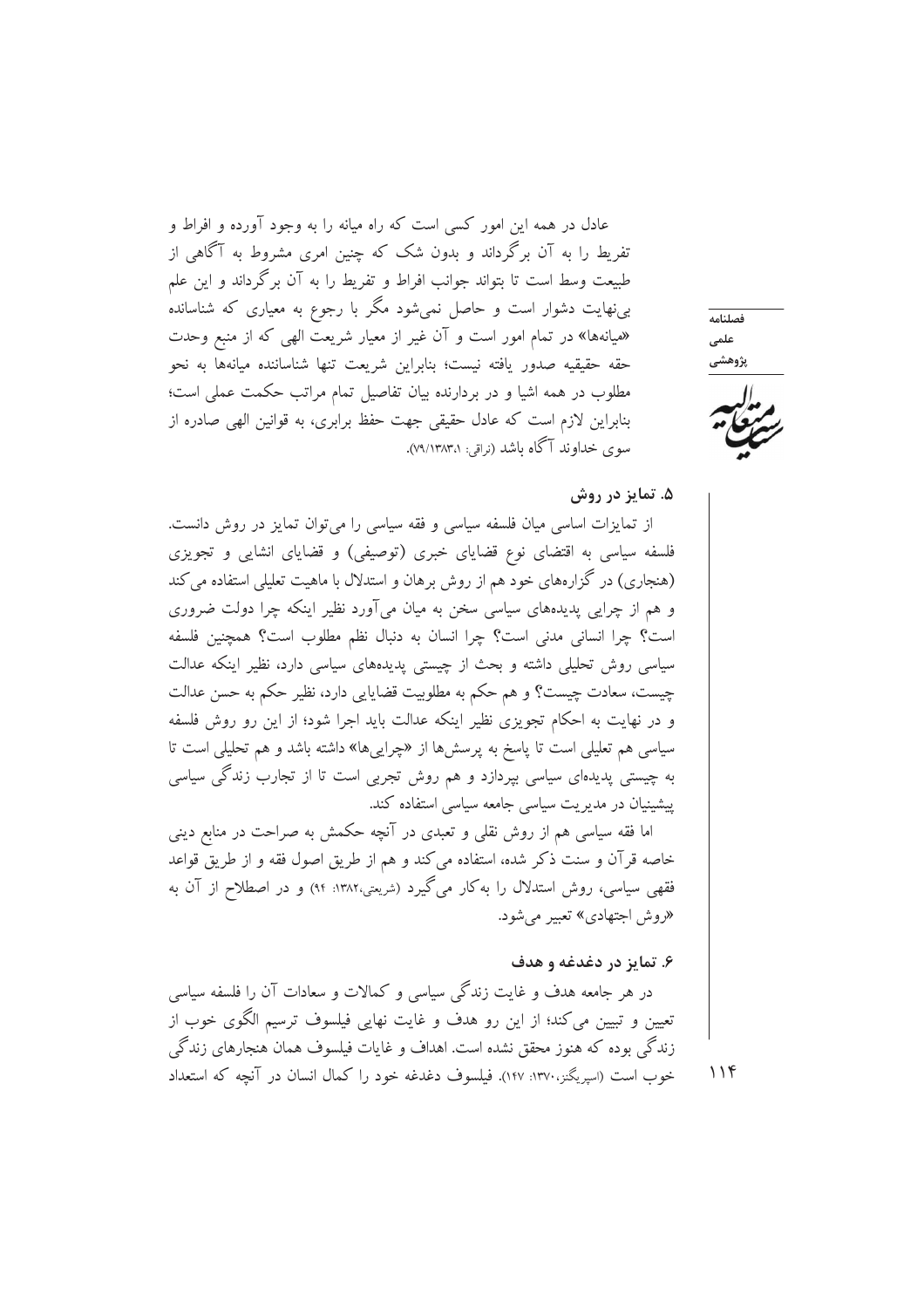عادل در همه این امور کسی است که راه میانه را به وجود آورده و افراط و تفریط را به آن برگرداند و بدون شک که چنین امری مشروط به آگاهی از طبیعت وسط است تا بتواند جوانب افراط و تفریط را به آن برگرداند و این علم بی نهایت دشوار است و حاصل نمی شود مگر با رجوع به معیاری که شناسانده «میانهها» در تمام امور است و آن غیر از معیار شریعت الهی که از منبع وحدت حقه حقيقيه صدور يافته نيست؛ بنابراين شريعت تنها شناساننده ميانهها به نحو مطلوب در همه اشیا و در بردارنده بیان تفاصیل تمام مراتب حکمت عملی است؛ بنابراین لازم است که عادل حقیقی جهت حفظ برابری، به قوانین الهی صادره از سوی خداوند آگاه باشد (نراقی: ۷۹/۱۳۸۳٬۱).

فصلنامه علمى پژوهشي

#### ۵. تمایز در روش

از تمایزات اساسی میان فلسفه سیاسی و فقه سیاسی را می توان تمایز در روش دانست. فلسفه سیاسی به اقتضای نوع قضایای خبری (توصیفی) و قضایای انشایی و تجویزی (هنجاری) در گزارههای خود هم از روش برهان و استدلال با ماهیت تعلیلی استفاده می کند و هم از چرایی پدیدههای سیاسی سخن به میان میآورد نظیر اینکه چرا دولت ضروری است؟ چرا انسانی مدنی است؟ چرا انسان به دنبال نظم مطلوب است؟ همچنین فلسفه سیاسی روش تحلیلی داشته و بحث از چیستی پدیدههای سیاسی دارد، نظیر اینکه عدالت چیست، سعادت چیست؟ و هم حکم به مطلوبیت قضایایی دارد، نظیر حکم به حسن عدالت و در نهایت به احکام تجویزی نظیر اینکه عدالت باید اجرا شود؛ از این رو روش فلسفه سیاسی هم تعلیلی است تا پاسخ به پرسشها از «چراییها» داشته باشد و هم تحلیلی است تا به چیستی پدیدهای سیاسی بیردازد و هم روش تجربی است تا از تجارب زندگی سیاسی .<br>پیشینیان در مدیریت سیاسی جامعه سیاسی استفاده کند.

اما فقه سیاسی هم از روش نقلی و تعبدی در آنچه حکمش به صراحت در منابع دینی خاصه قرآن و سنت ذكر شده، استفاده مي كند و هم از طريق اصول فقه و از طريق قواعد فقهی سیاسی، روش استدلال را به کار میگیرد (شریعتی،۱۳۸۲: ۹۴) و در اصطلاح از آن به «روش اجتهادي» تعبير مي شود.

# ۶. تمایز در دغدغه و هدف

در هر جامعه هدف و غایت زندگی سیاسی و کمالات و سعادات آن را فلسفه سیاسی تعیین و تبیین می کند؛ از این رو هدف و غایت نهایی فیلسوف ترسیم الگوی خوب از زندگی بوده که هنوز محقق نشده است. اهداف و غایات فیلسوف همان هنجارهای زندگی خوب است (اسیریگنز،۱۳۷۰: ۱۴۷). فیلسوف دغدغه خود را کمال انسان در آنچه که استعداد

 $116$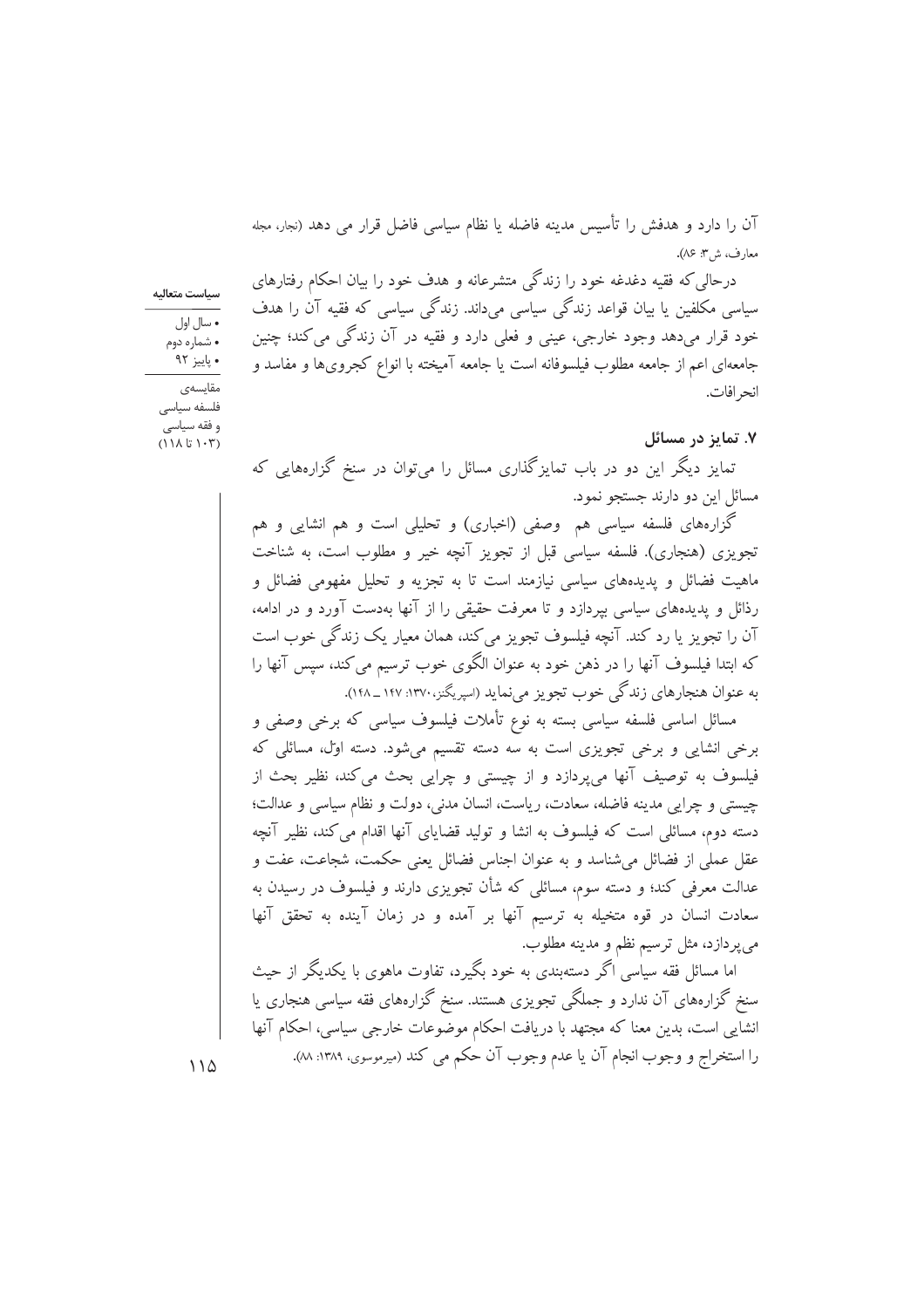آن را دارد و هدفش را تأسیس مدینه فاضله یا نظام سیاسی فاضل قرار می دهد (نجار، مجله معارف، ش ٣: ٨۶).

سیاسی مکلفین یا بیان قواعد زندگی سیاسی می،داند. زندگی سیاسی که فقیه آن را هدف

خود قرار می،دهد وجود خارجی، عینی و فعلی دارد و فقیه در آن زندگی می کند؛ چنین

جامعهای اعم از جامعه مطلوب فیلسوفانه است یا جامعه آمیخته با انواع کجرویها و مفاسد و

درحالی که فقیه دغدغه خود را زندگی متشرعانه و هدف خود را بیان احکام رفتارهای

سياست متعاليه

• سال اول • شماره دوم • پاييز ۹۲

مقايسەي فلسفه سياسى و فقه سياسي  $(111517)$ 

۷. تمایز در مسائل

انحر افات.

تمایز دیگر این دو در باب تمایزگذاری مسائل را میتوان در سنخ گزارههایی که مسائل اين دو دارند جستجو نمود.

گزارههای فلسفه سیاسی هم ۖ وصفی (اخباری) و تحلیلی است و هم انشایی و هم تجویزی (هنجاری). فلسفه سیاسی قبل از تجویز آنچه خیر و مطلوب است، به شناخت ماهیت فضائل و یدیدههای سیاسی نیازمند است تا به تجزیه و تحلیل مفهومی فضائل و رذائل و یدیدههای سیاسی بیردازد و تا معرفت حقیقی را از آنها بهدست آورد و در ادامه، آن را تجویز یا رد کند. آنچه فیلسوف تجویز می کند، همان معیار یک زندگی خوب است که ابتدا فیلسوف آنها را در ذهن خود به عنوان الگوی خوب ترسیم می کند، سیس آنها را به عنوان هنجارهای زندگی خوب تجویز می نماید (اسپریگنز،۱۳۷۰: ۱۴۷ ـ ۱۴۸).

مسائل اساسی فلسفه سیاسی بسته به نوع تأملات فیلسوف سیاسی که برخی وصفی و برخی انشایی و برخی تجویزی است به سه دسته تقسیم می شود. دسته اول، مسائلی که فیلسوف به توصیف آنها می پردازد و از چیستی و چرایی بحث می کند، نظیر بحث از چیستی و چرایی مدینه فاضله، سعادت، ریاست، انسان مدنی، دولت و نظام سیاسی و عدالت؛ دسته دوم، مسائلی است که فیلسوف به انشا و تولید قضایای آنها اقدام می کند، نظیر آنچه عقل عملی از فضائل میشناسد و به عنوان اجناس فضائل یعنی حکمت، شجاعت، عفت و عدالت معرفی کند؛ و دسته سوم، مسائلی که شأن تجویزی دارند و فیلسوف در رسیدن به سعادت انسان در قوه متخیله به ترسیم آنها بر آمده و در زمان آینده به تحقق آنها مي يو دازد، مثل ترسيم نظم و مدينه مطلوب.

اما مسائل فقه سیاسی اگر دستهبندی به خود بگیرد، تفاوت ماهوی با یکدیگر از حیث سنخ گزارههای آن ندارد و جملگی تجویزی هستند. سنخ گزارههای فقه سیاسی هنجاری یا انشایی است، بدین معنا که مجتهد با دریافت احکام موضوعات خارجی سیاسی، احکام آنها را استخراج و وجوب انجام آن یا عدم وجوب آن حکم می کند (میرموسوی، ۱۳۸۹: ۸۸).

 $\bigwedge$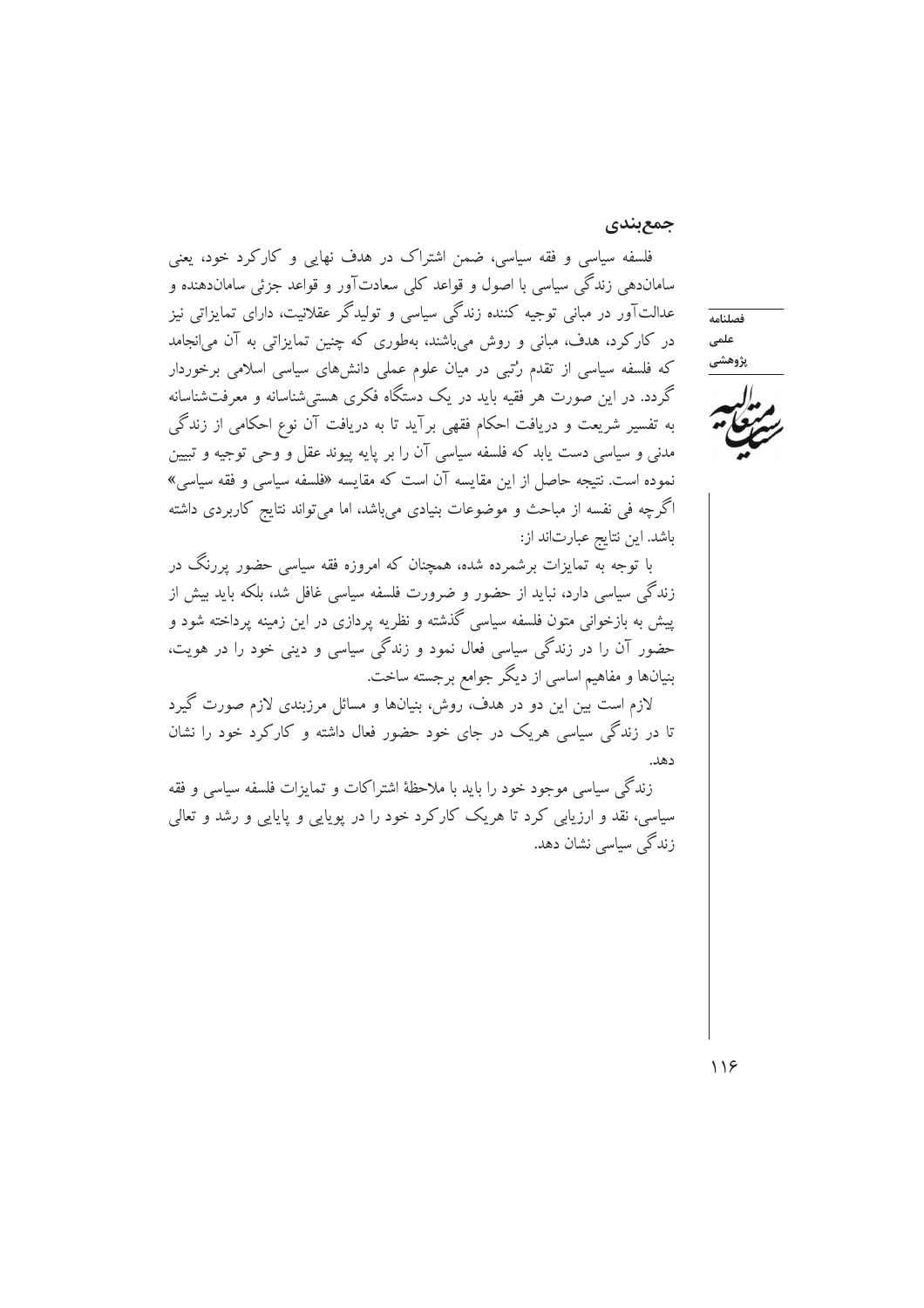جمع بندي

فلسفه سیاسی و فقه سیاسی، ضمن اشتراک در هدف نهایی و کارکرد خود، یعنی ساماندهی زندگی سیاسی با اصول و قواعد کلی سعادتآور و قواعد جزئی ساماندهنده و عدالتآور در مبانی توجیه کننده زندگی سیاسی و تولیدگر عقلانیت، دارای تمایزاتی نیز در کارکرد، هدف، مبانی و روش می باشند، بهطوری که چنین تمایزاتی به آن می|نجامد که فلسفه سیاسی از تقدم رُتبی در میان علوم عملی دانش های سیاسی اسلامی برخوردار گردد. در این صورت هر فقیه باید در یک دستگاه فکری هستی شناسانه و معرفتشناسانه به تفسیر شریعت و دریافت احکام فقهی برآید تا به دریافت آن نوع احکامی از زندگی مدنی و سیاسی دست یابد که فلسفه سیاسی آن را بر پایه پیوند عقل و وحی توجیه و تبیین نموده است. نتيجه حاصل از اين مقايسه آن است كه مقايسه «فلسفه سياسي و فقه سياسي» اگرچه فی نفسه از مباحث و موضوعات بنیادی می باشد، اما می تواند نتایج کاربردی داشته باشد. این نتایج عبارتاند از:

با توجه به تمایزات برشمرده شده، همچنان که امروزه فقه سیاسی حضور پررنگ در زندگی سیاسی دارد، نباید از حضور و ضرورت فلسفه سیاسی غافل شد، بلکه باید بیش از پیش به بازخوانی متون فلسفه سیاسی گذشته و نظریه پردازی در این زمینه پرداخته شود و حضور آن را در زندگی سیاسی فعال نمود و زندگی سیاسی و دینی خود را در هویت، بنیانها و مفاهیم اساسی از دیگر جوامع برجسته ساخت.

لازم است بین این دو در هدف، روش، بنیانها و مسائل مرزبندی لازم صورت گیرد تا در زندگی سیاسی هریک در جای خود حضور فعال داشته و کارکرد خود را نشان دهد.

زندگی سیاسی موجود خود را باید با ملاحظهٔ اشتراکات و تمایزات فلسفه سیاسی و فقه سیاسی، نقد و ارزیابی کرد تا هریک کارکرد خود را در پویایی و پایایی و رشد و تعالی زندگی سیاسی نشان دهد.

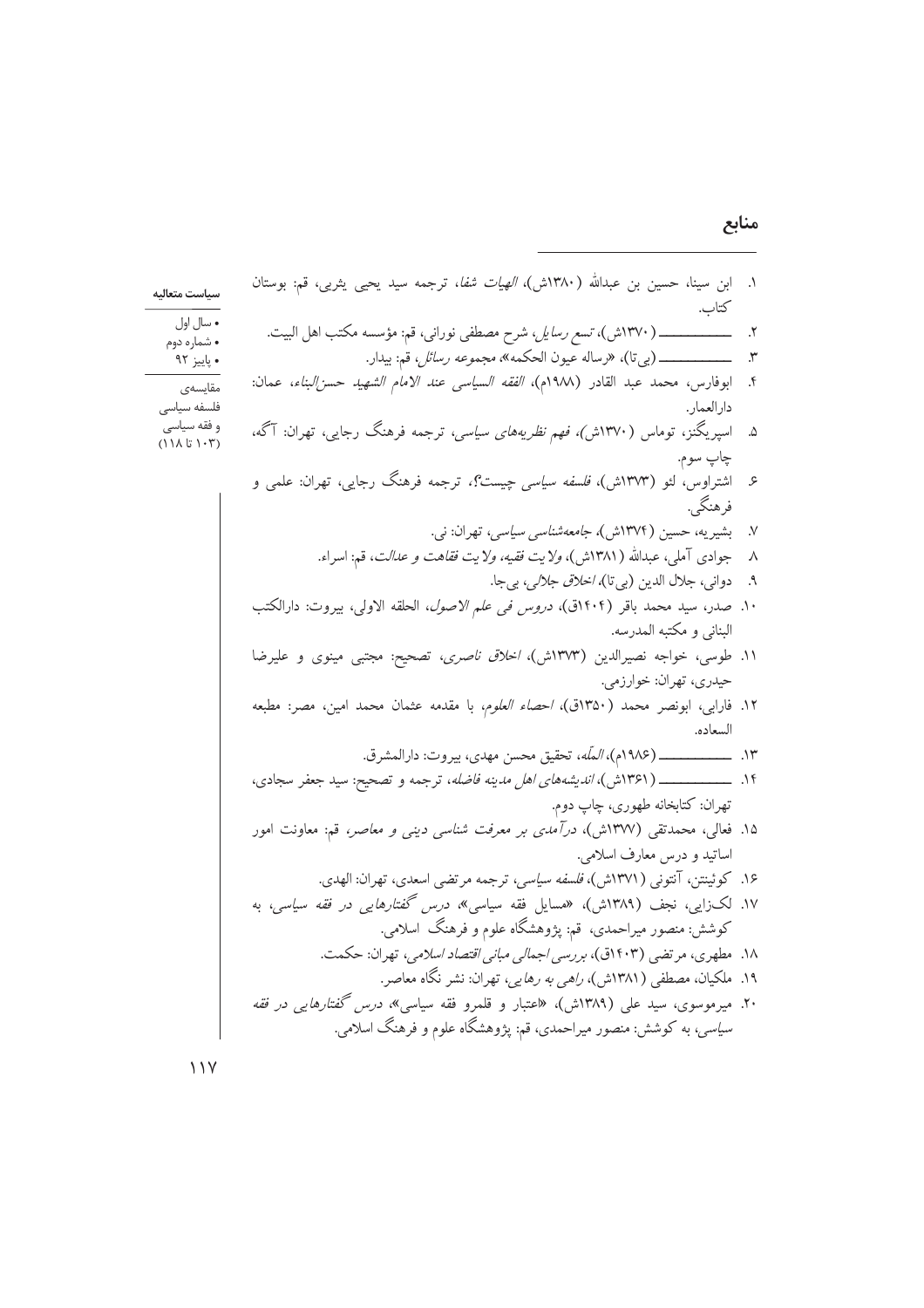# منابع

 $\bigwedge$